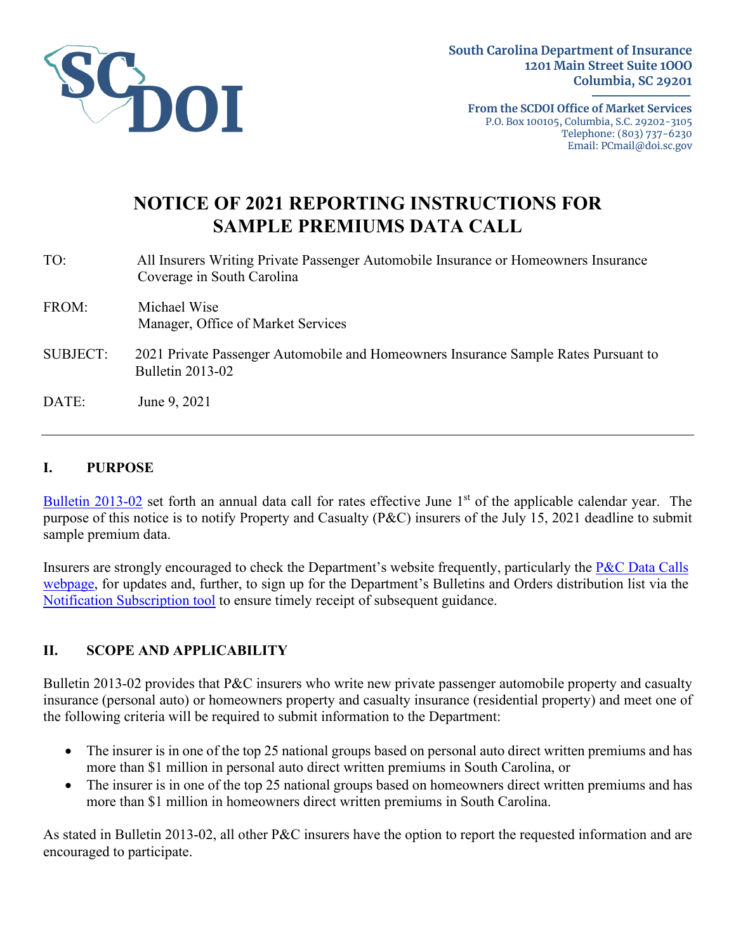

**From the SCDOI Office of Market Services** P.O. Box 100105, Columbia, S.C. 29202-3105 Telephone: (803) 737-6230 Email: PCmail@doi.sc.gov

# **NOTICE OF 2021 REPORTING INSTRUCTIONS FOR SAMPLE PREMIUMS DATA CALL**

TO: All Insurers Writing Private Passenger Automobile Insurance or Homeowners Insurance Coverage in South Carolina FROM: Michael Wise Manager, Office of Market Services SUBJECT: 2021 Private Passenger Automobile and Homeowners Insurance Sample Rates Pursuant to Bulletin 2013-02

DATE: June 9, 2021

#### **I. PURPOSE**

[Bulletin 2013-02](http://doi.sc.gov/DocumentCenter/View/2700) set forth an annual data call for rates effective June 1<sup>st</sup> of the applicable calendar year. The purpose of this notice is to notify Property and Casualty (P&C) insurers of the July 15, 2021 deadline to submit sample premium data.

Insurers are strongly encouraged to check the Department's website frequently, particularly the P&C [Data Calls](http://www.doi.sc.gov/pcdatacalls)  [webpage,](http://www.doi.sc.gov/pcdatacalls) for updates and, further, to sign up for the Department's Bulletins and Orders distribution list via the [Notification Subscription tool](http://doi.sc.gov/notifyme) to ensure timely receipt of subsequent guidance.

## **II. SCOPE AND APPLICABILITY**

Bulletin 2013-02 provides that P&C insurers who write new private passenger automobile property and casualty insurance (personal auto) or homeowners property and casualty insurance (residential property) and meet one of the following criteria will be required to submit information to the Department:

- The insurer is in one of the top 25 national groups based on personal auto direct written premiums and has more than \$1 million in personal auto direct written premiums in South Carolina, or
- The insurer is in one of the top 25 national groups based on homeowners direct written premiums and has more than \$1 million in homeowners direct written premiums in South Carolina.

As stated in Bulletin 2013-02, all other P&C insurers have the option to report the requested information and are encouraged to participate.